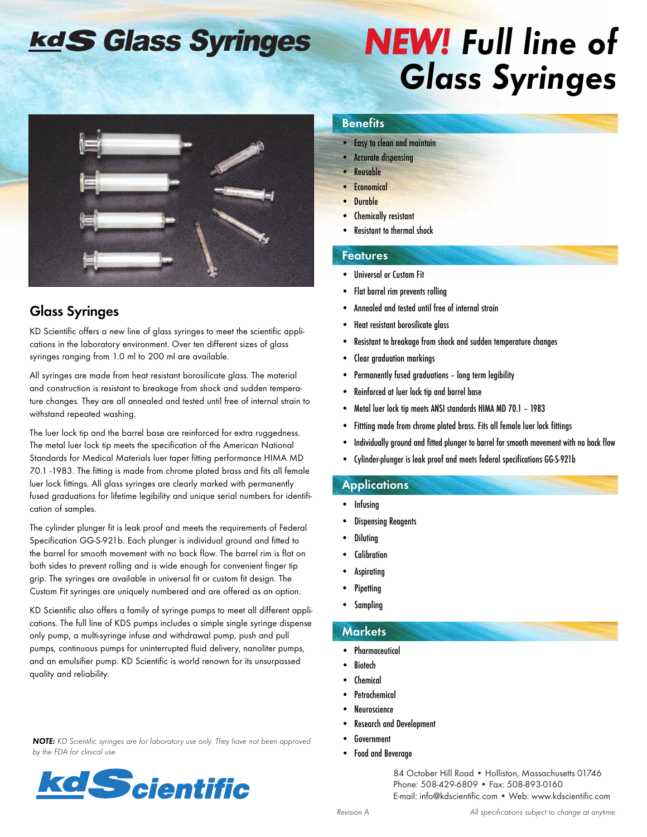## kdS Glass Syringes

# *NEW! Full line of Glass Syringes*



### **Glass Syringes**

KD Scientific offers a new line of glass syringes to meet the scientific applications in the laboratory environment. Over ten different sizes of glass syringes ranging from 1.0 ml to 200 ml are available.

All syringes are made from heat resistant borosilicate glass. The material and construction is resistant to breakage from shock and sudden temperature changes. They are all annealed and tested until free of internal strain to withstand repeated washing.

The luer lock tip and the barrel base are reinforced for extra ruggedness. The metal luer lock tip meets the specification of the American National Standards for Medical Materials luer taper fitting performance HIMA MD 70.1 -1983. The fitting is made from chrome plated brass and fits all female luer lock fittings. All glass syringes are clearly marked with permanently fused graduations for lifetime legibility and unique serial numbers for identification of samples.

The cylinder plunger fit is leak proof and meets the requirements of Federal Specification GG-S-921b. Each plunger is individual ground and fitted to the barrel for smooth movement with no back flow. The barrel rim is flat on both sides to prevent rolling and is wide enough for convenient finger tip grip. The syringes are available in universal fit or custom fit design. The Custom Fit syringes are uniquely numbered and are offered as an option.

KD Scientific also offers a family of syringe pumps to meet all different applications. The full line of KDS pumps includes a simple single syringe dispense only pump, a multi-syringe infuse and withdrawal pump, push and pull pumps, continuous pumps for uninterrupted fluid delivery, nanoliter pumps, and an emulsifier pump. KD Scientific is world renown for its unsurpassed quality and reliability.

*NOTE: KD Scientific syringes are for laboratory use only. They have not been approved by the FDA for clinical use.*



#### **Benefits**

- Easy to clean and maintain
- Accurate dispensing
- **Reusable**
- **Economical**
- Durable
- **Chemically resistant**
- Resistant to thermal shock

#### **Features**

- Universal or Custom Fit
- Flat barrel rim prevents rolling
- Annealed and tested until free of internal strain
- Heat resistant borosilicate glass
- Resistant to breakage from shock and sudden temperature changes
- Clear graduation markings
- Permanently fused graduations long term legibility
- Reinforced at luer lock tip and barrel base
- Metal luer lock tip meets ANSI standards HIMA MD 70.1 1983
- Fittting made from chrome plated brass. Fits all female luer lock fittings
- Individually ground and fitted plunger to barrel for smooth movement with no back flow
- Cylinder-plunger is leak proof and meets federal specifications GG-S-921b

#### **Applications**

- Infusing
- Dispensing Reagents
- **Diluting**
- **Calibration**
- **Aspirating**
- **Pipetting**
- **Sampling**

#### **Markets**

- Pharmaceutical
- **Biotech**
- **Chemical**
- **Petrochemical**
- **Neuroscience**
- Research and Development
- **Government**
- Food and Beverage

84 October Hill Road • Holliston, Massachusetts 01746 Phone: 508-429-6809 • Fax: 508-893-0160 E-mail: info@kdscientific.com • Web: www.kdscientific.com